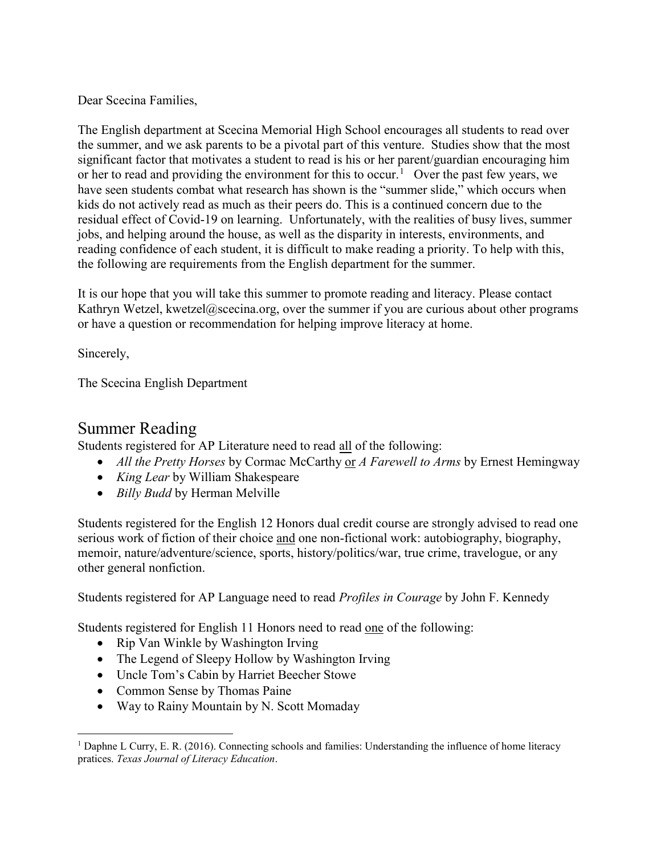Dear Scecina Families,

The English department at Scecina Memorial High School encourages all students to read over the summer, and we ask parents to be a pivotal part of this venture. Studies show that the most significant factor that motivates a student to read is his or her parent/guardian encouraging him or her to read and providing the environment for this to occur.<sup>[1](#page-0-0)</sup> Over the past few years, we have seen students combat what research has shown is the "summer slide," which occurs when kids do not actively read as much as their peers do. This is a continued concern due to the residual effect of Covid-19 on learning. Unfortunately, with the realities of busy lives, summer jobs, and helping around the house, as well as the disparity in interests, environments, and reading confidence of each student, it is difficult to make reading a priority. To help with this, the following are requirements from the English department for the summer.

It is our hope that you will take this summer to promote reading and literacy. Please contact Kathryn Wetzel, kwetzel@scecina.org, over the summer if you are curious about other programs or have a question or recommendation for helping improve literacy at home.

Sincerely,

The Scecina English Department

## Summer Reading

Students registered for AP Literature need to read all of the following:

- *All the Pretty Horses* by Cormac McCarthy or *A Farewell to Arms* by Ernest Hemingway
- *King Lear* by William Shakespeare
- *Billy Budd* by Herman Melville

Students registered for the English 12 Honors dual credit course are strongly advised to read one serious work of fiction of their choice and one non-fictional work: autobiography, biography, memoir, nature/adventure/science, sports, history/politics/war, true crime, travelogue, or any other general nonfiction.

Students registered for AP Language need to read *Profiles in Courage* by John F. Kennedy

Students registered for English 11 Honors need to read one of the following:

- Rip Van Winkle by Washington Irving
- The Legend of Sleepy Hollow by Washington Irving
- Uncle Tom's Cabin by Harriet Beecher Stowe
- Common Sense by Thomas Paine
- Way to Rainy Mountain by N. Scott Momaday

<span id="page-0-0"></span><sup>1</sup> Daphne L Curry, E. R. (2016). Connecting schools and families: Understanding the influence of home literacy pratices. *Texas Journal of Literacy Education*.